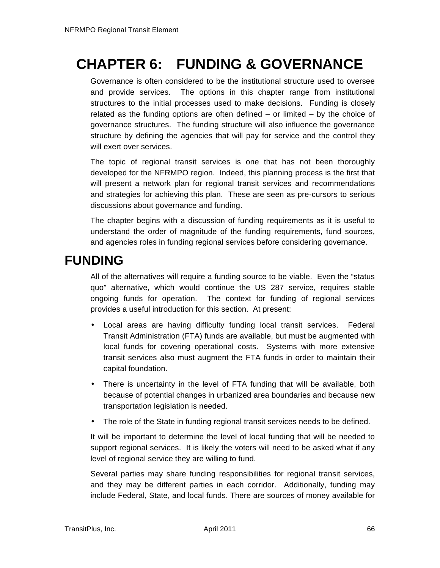# **CHAPTER 6: FUNDING & GOVERNANCE**

Governance is often considered to be the institutional structure used to oversee and provide services. The options in this chapter range from institutional structures to the initial processes used to make decisions. Funding is closely related as the funding options are often defined – or limited – by the choice of governance structures. The funding structure will also influence the governance structure by defining the agencies that will pay for service and the control they will exert over services.

The topic of regional transit services is one that has not been thoroughly developed for the NFRMPO region. Indeed, this planning process is the first that will present a network plan for regional transit services and recommendations and strategies for achieving this plan. These are seen as pre-cursors to serious discussions about governance and funding.

The chapter begins with a discussion of funding requirements as it is useful to understand the order of magnitude of the funding requirements, fund sources, and agencies roles in funding regional services before considering governance.

# **FUNDING**

All of the alternatives will require a funding source to be viable. Even the "status quo" alternative, which would continue the US 287 service, requires stable ongoing funds for operation. The context for funding of regional services provides a useful introduction for this section. At present:

- Local areas are having difficulty funding local transit services. Federal Transit Administration (FTA) funds are available, but must be augmented with local funds for covering operational costs. Systems with more extensive transit services also must augment the FTA funds in order to maintain their capital foundation.
- There is uncertainty in the level of FTA funding that will be available, both because of potential changes in urbanized area boundaries and because new transportation legislation is needed.
- The role of the State in funding regional transit services needs to be defined.

It will be important to determine the level of local funding that will be needed to support regional services. It is likely the voters will need to be asked what if any level of regional service they are willing to fund.

Several parties may share funding responsibilities for regional transit services, and they may be different parties in each corridor. Additionally, funding may include Federal, State, and local funds. There are sources of money available for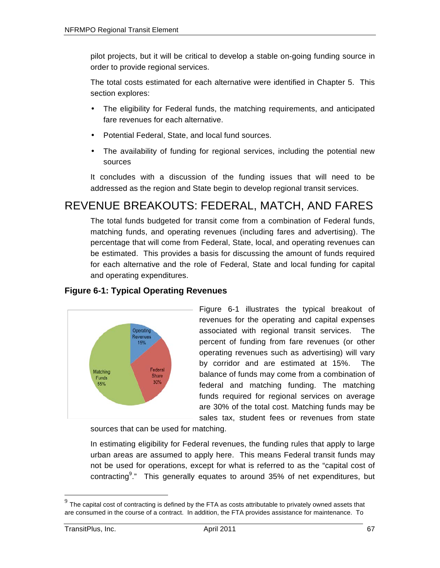pilot projects, but it will be critical to develop a stable on-going funding source in order to provide regional services.

The total costs estimated for each alternative were identified in Chapter 5. This section explores:

- The eligibility for Federal funds, the matching requirements, and anticipated fare revenues for each alternative.
- Potential Federal, State, and local fund sources.
- The availability of funding for regional services, including the potential new sources

It concludes with a discussion of the funding issues that will need to be addressed as the region and State begin to develop regional transit services.

## REVENUE BREAKOUTS: FEDERAL, MATCH, AND FARES

The total funds budgeted for transit come from a combination of Federal funds, matching funds, and operating revenues (including fares and advertising). The percentage that will come from Federal, State, local, and operating revenues can be estimated. This provides a basis for discussing the amount of funds required for each alternative and the role of Federal, State and local funding for capital and operating expenditures.

#### **Figure 6-1: Typical Operating Revenues**



Figure 6-1 illustrates the typical breakout of revenues for the operating and capital expenses associated with regional transit services. The percent of funding from fare revenues (or other operating revenues such as advertising) will vary by corridor and are estimated at 15%. The balance of funds may come from a combination of federal and matching funding. The matching funds required for regional services on average are 30% of the total cost. Matching funds may be sales tax, student fees or revenues from state

sources that can be used for matching.

In estimating eligibility for Federal revenues, the funding rules that apply to large urban areas are assumed to apply here. This means Federal transit funds may not be used for operations, except for what is referred to as the "capital cost of contracting<sup>9</sup>." This generally equates to around 35% of net expenditures, but

 $9$  The capital cost of contracting is defined by the FTA as costs attributable to privately owned assets that are consumed in the course of a contract. In addition, the FTA provides assistance for maintenance. To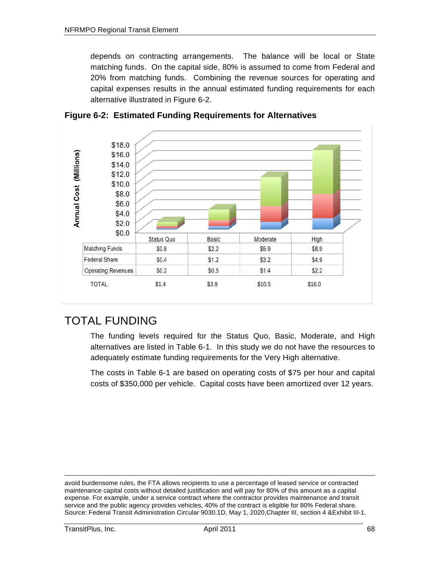depends on contracting arrangements. The balance will be local or State matching funds. On the capital side, 80% is assumed to come from Federal and 20% from matching funds. Combining the revenue sources for operating and capital expenses results in the annual estimated funding requirements for each alternative illustrated in Figure 6-2.



**Figure 6-2: Estimated Funding Requirements for Alternatives**

### TOTAL FUNDING

The funding levels required for the Status Quo, Basic, Moderate, and High alternatives are listed in Table 6-1. In this study we do not have the resources to adequately estimate funding requirements for the Very High alternative.

The costs in Table 6-1 are based on operating costs of \$75 per hour and capital costs of \$350,000 per vehicle. Capital costs have been amortized over 12 years.

avoid burdensome rules, the FTA allows recipients to use a percentage of leased service or contracted maintenance capital costs without detailed justification and will pay for 80% of this amount as a capital expense. For example, under a service contract where the contractor provides maintenance and transit service and the public agency provides vehicles, 40% of the contract is eligible for 80% Federal share. Source: Federal Transit Administration Circular 9030.1D, May 1, 2020,Chapter III, section 4 &Exhibit III-1.

<u> 1989 - Andrea Santa Andrea Andrea Andrea Andrea Andrea Andrea Andrea Andrea Andrea Andrea Andrea Andrea Andr</u>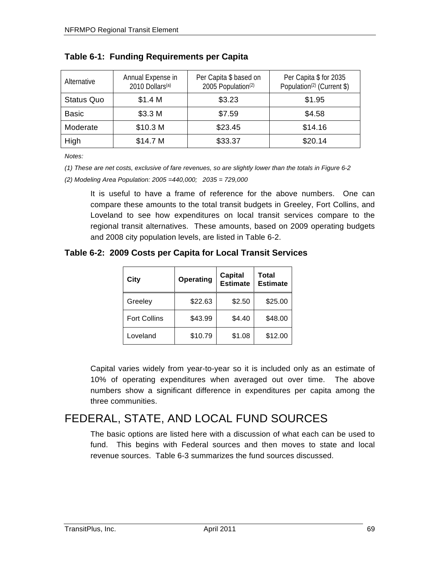| Alternative       | Annual Expense in<br>2010 Dollars <sup>(a)</sup> | Per Capita \$ based on<br>2005 Population(2) | Per Capita \$ for 2035<br>Population <sup>(2)</sup> (Current \$) |
|-------------------|--------------------------------------------------|----------------------------------------------|------------------------------------------------------------------|
| <b>Status Quo</b> | \$1.4 M                                          | \$3.23                                       | \$1.95                                                           |
| <b>Basic</b>      | \$3.3 M                                          | \$7.59                                       | \$4.58                                                           |
| Moderate          | \$10.3 M                                         | \$23.45                                      | \$14.16                                                          |
| High              | \$14.7 M                                         | \$33.37                                      | \$20.14                                                          |

**Table 6-1: Funding Requirements per Capita**

*Notes:*

*(1) These are net costs, exclusive of fare revenues, so are slightly lower than the totals in Figure 6-2*

*(2) Modeling Area Population: 2005 =440,000; 2035 = 729,000*

It is useful to have a frame of reference for the above numbers. One can compare these amounts to the total transit budgets in Greeley, Fort Collins, and Loveland to see how expenditures on local transit services compare to the regional transit alternatives. These amounts, based on 2009 operating budgets and 2008 city population levels, are listed in Table 6-2.

**Table 6-2: 2009 Costs per Capita for Local Transit Services**

| City                | Operating | <b>Capital</b><br><b>Estimate</b> | Total<br><b>Estimate</b> |  |
|---------------------|-----------|-----------------------------------|--------------------------|--|
| Greeley             | \$22.63   | \$2.50                            | \$25.00                  |  |
| <b>Fort Collins</b> | \$43.99   | \$4.40                            | \$48.00                  |  |
| Loveland            | \$10.79   | \$1.08                            | \$12.00                  |  |

Capital varies widely from year-to-year so it is included only as an estimate of 10% of operating expenditures when averaged out over time. The above numbers show a significant difference in expenditures per capita among the three communities.

# FEDERAL, STATE, AND LOCAL FUND SOURCES

The basic options are listed here with a discussion of what each can be used to fund. This begins with Federal sources and then moves to state and local revenue sources. Table 6-3 summarizes the fund sources discussed.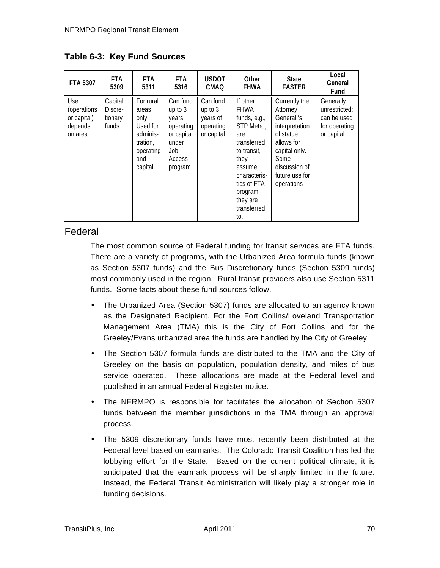| FTA 5307                                                | <b>FTA</b><br>5309                      | <b>FTA</b><br>5311                                                                             | <b>FTA</b><br>5316                                                                            | <b>USDOT</b><br><b>CMAQ</b>                                  | Other<br><b>FHWA</b>                                                                                                                                                                     | <b>State</b><br><b>FASTER</b>                                                                                                                                  | Local<br>General<br><b>Fund</b>                                           |
|---------------------------------------------------------|-----------------------------------------|------------------------------------------------------------------------------------------------|-----------------------------------------------------------------------------------------------|--------------------------------------------------------------|------------------------------------------------------------------------------------------------------------------------------------------------------------------------------------------|----------------------------------------------------------------------------------------------------------------------------------------------------------------|---------------------------------------------------------------------------|
| Use<br>(operations<br>or capital)<br>depends<br>on area | Capital.<br>Discre-<br>tionary<br>funds | For rural<br>areas<br>only.<br>Used for<br>adminis-<br>tration.<br>operating<br>and<br>capital | Can fund<br>up to 3<br>years<br>operating<br>or capital<br>under<br>Job<br>Access<br>program. | Can fund<br>up to $3$<br>years of<br>operating<br>or capital | If other<br><b>FHWA</b><br>funds, e.g.,<br>STP Metro,<br>are<br>transferred<br>to transit,<br>they<br>assume<br>characteris-<br>tics of FTA<br>program<br>they are<br>transferred<br>to. | Currently the<br>Attorney<br>General 's<br>interpretation<br>of statue<br>allows for<br>capital only.<br>Some<br>discussion of<br>future use for<br>operations | Generally<br>unrestricted;<br>can be used<br>for operating<br>or capital. |

**Table 6-3: Key Fund Sources**

### Federal

The most common source of Federal funding for transit services are FTA funds. There are a variety of programs, with the Urbanized Area formula funds (known as Section 5307 funds) and the Bus Discretionary funds (Section 5309 funds) most commonly used in the region. Rural transit providers also use Section 5311 funds. Some facts about these fund sources follow.

- The Urbanized Area (Section 5307) funds are allocated to an agency known as the Designated Recipient. For the Fort Collins/Loveland Transportation Management Area (TMA) this is the City of Fort Collins and for the Greeley/Evans urbanized area the funds are handled by the City of Greeley.
- The Section 5307 formula funds are distributed to the TMA and the City of Greeley on the basis on population, population density, and miles of bus service operated. These allocations are made at the Federal level and published in an annual Federal Register notice.
- The NFRMPO is responsible for facilitates the allocation of Section 5307 funds between the member jurisdictions in the TMA through an approval process.
- The 5309 discretionary funds have most recently been distributed at the Federal level based on earmarks. The Colorado Transit Coalition has led the lobbying effort for the State. Based on the current political climate, it is anticipated that the earmark process will be sharply limited in the future. Instead, the Federal Transit Administration will likely play a stronger role in funding decisions.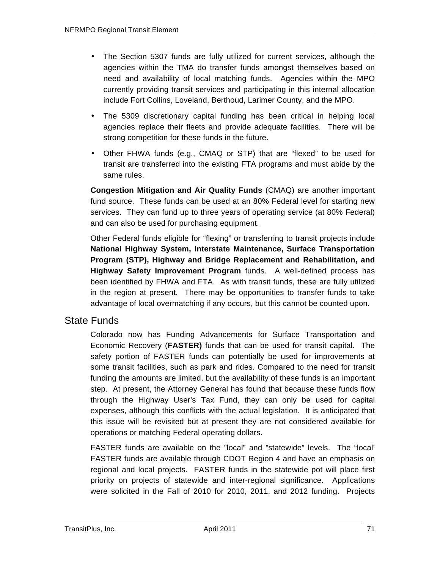- The Section 5307 funds are fully utilized for current services, although the agencies within the TMA do transfer funds amongst themselves based on need and availability of local matching funds. Agencies within the MPO currently providing transit services and participating in this internal allocation include Fort Collins, Loveland, Berthoud, Larimer County, and the MPO.
- The 5309 discretionary capital funding has been critical in helping local agencies replace their fleets and provide adequate facilities. There will be strong competition for these funds in the future.
- Other FHWA funds (e.g., CMAQ or STP) that are "flexed" to be used for transit are transferred into the existing FTA programs and must abide by the same rules.

**Congestion Mitigation and Air Quality Funds** (CMAQ) are another important fund source. These funds can be used at an 80% Federal level for starting new services. They can fund up to three years of operating service (at 80% Federal) and can also be used for purchasing equipment.

Other Federal funds eligible for "flexing" or transferring to transit projects include **National Highway System, Interstate Maintenance, Surface Transportation Program (STP), Highway and Bridge Replacement and Rehabilitation, and Highway Safety Improvement Program** funds. A well-defined process has been identified by FHWA and FTA. As with transit funds, these are fully utilized in the region at present. There may be opportunities to transfer funds to take advantage of local overmatching if any occurs, but this cannot be counted upon.

### State Funds

Colorado now has Funding Advancements for Surface Transportation and Economic Recovery (**FASTER)** funds that can be used for transit capital. The safety portion of FASTER funds can potentially be used for improvements at some transit facilities, such as park and rides. Compared to the need for transit funding the amounts are limited, but the availability of these funds is an important step. At present, the Attorney General has found that because these funds flow through the Highway User's Tax Fund, they can only be used for capital expenses, although this conflicts with the actual legislation. It is anticipated that this issue will be revisited but at present they are not considered available for operations or matching Federal operating dollars.

FASTER funds are available on the "local" and "statewide" levels. The "local' FASTER funds are available through CDOT Region 4 and have an emphasis on regional and local projects. FASTER funds in the statewide pot will place first priority on projects of statewide and inter-regional significance. Applications were solicited in the Fall of 2010 for 2010, 2011, and 2012 funding. Projects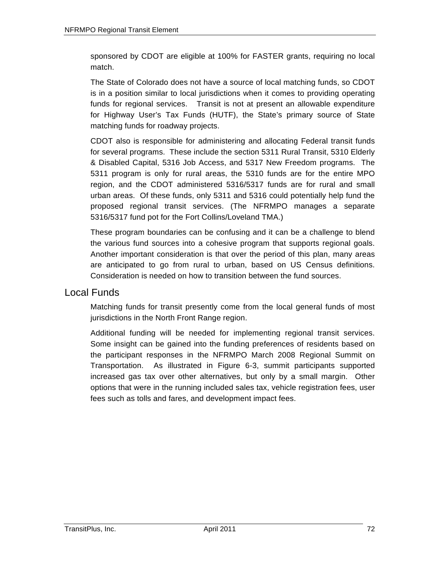sponsored by CDOT are eligible at 100% for FASTER grants, requiring no local match.

The State of Colorado does not have a source of local matching funds, so CDOT is in a position similar to local jurisdictions when it comes to providing operating funds for regional services. Transit is not at present an allowable expenditure for Highway User's Tax Funds (HUTF), the State's primary source of State matching funds for roadway projects.

CDOT also is responsible for administering and allocating Federal transit funds for several programs. These include the section 5311 Rural Transit, 5310 Elderly & Disabled Capital, 5316 Job Access, and 5317 New Freedom programs. The 5311 program is only for rural areas, the 5310 funds are for the entire MPO region, and the CDOT administered 5316/5317 funds are for rural and small urban areas. Of these funds, only 5311 and 5316 could potentially help fund the proposed regional transit services. (The NFRMPO manages a separate 5316/5317 fund pot for the Fort Collins/Loveland TMA.)

These program boundaries can be confusing and it can be a challenge to blend the various fund sources into a cohesive program that supports regional goals. Another important consideration is that over the period of this plan, many areas are anticipated to go from rural to urban, based on US Census definitions. Consideration is needed on how to transition between the fund sources.

#### Local Funds

Matching funds for transit presently come from the local general funds of most jurisdictions in the North Front Range region.

Additional funding will be needed for implementing regional transit services. Some insight can be gained into the funding preferences of residents based on the participant responses in the NFRMPO March 2008 Regional Summit on Transportation. As illustrated in Figure 6-3, summit participants supported increased gas tax over other alternatives, but only by a small margin. Other options that were in the running included sales tax, vehicle registration fees, user fees such as tolls and fares, and development impact fees.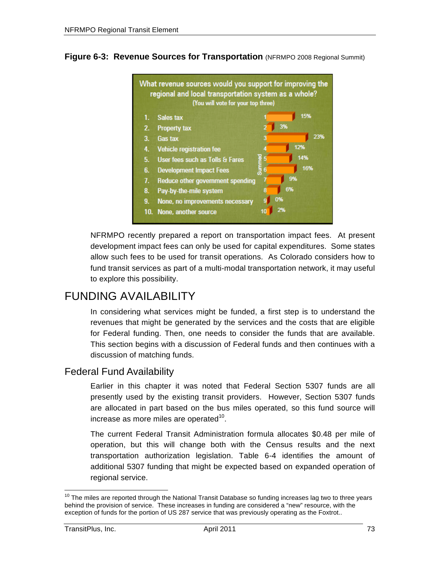#### Figure 6-3: Revenue Sources for Transportation (NFRMPO 2008 Regional Summit) *(NFRMPO March 2008 Regional Summit)*



NFRMPO recently prepared a report on transportation impact fees. At present development impact fees can only be used for capital expenditures. Some states allow such fees to be used for transit operations. As Colorado considers how to fund transit services as part of a multi-modal transportation network, it may useful to explore this possibility. and 25 below. These tables recommend allocation of funding for funding for the TDM Program in both Phase One and Phase One and Phase One and Phase One and Phase One and Phase One and Phase One and Phase One and Phase One a

#### FUNDING AVAILABILITY **Support TDM programming as the region works to region works to rely in the region works to rely** inding availability.

In considering what services might be funded, a first step is to understand the revenues that might be generated by the services and the costs that are eligible for Federal funding. Then, one needs to consider the funds that are available. This section begins with a discussion of Federal funds and then continues with a Find section begins with a discussion of Federal random ulocuosio

#### Federal Fund Availability library)

Earlier in this chapter it was noted that Federal Section 5307 funds are all presently used by the existing transit providers. However, Section 5307 funds processing accessing the extensive procession. The metallic contration are allocated in part based on the bus miles operated, so this fund source will increase as more miles are operated $^{10}$ . are allocated in part based on the  $\alpha$ 

The current Federal Transit Administration formula allocates \$0.48 per mile of operation, but this will change both with the Census results and the next transportation authorization legislation. Table 6-4 identifies the amount of additional 5307 funding that might be expected based on expanded operation of regional service.

<sup>&</sup>lt;sup>10</sup> The miles are reported through the National Transit Database so funding increases lag two to three years behind the provision of service. These increases in funding are considered a "new" resource, with the exception of funds for the portion of US 287 service that was previously operating as the Foxtrot..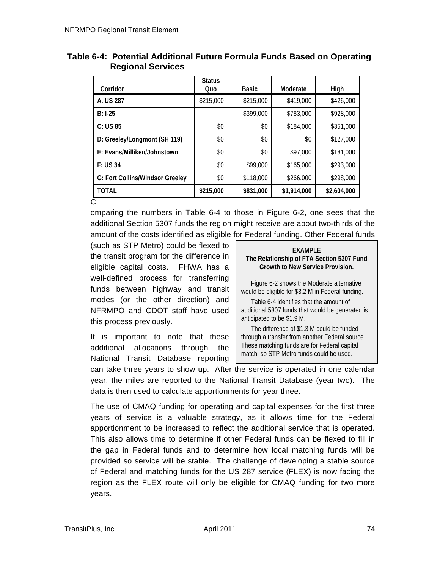| Corridor                               | <b>Status</b><br>Quo | <b>Basic</b> | Moderate    | High        |
|----------------------------------------|----------------------|--------------|-------------|-------------|
| A. US 287                              | \$215,000            | \$215,000    | \$419,000   | \$426,000   |
| $B: I-25$                              |                      | \$399,000    | \$783,000   | \$928,000   |
| C: US 85                               | \$0                  | \$0          | \$184,000   | \$351,000   |
| D: Greeley/Longmont (SH 119)           | \$0                  | \$0          | \$0         | \$127,000   |
| E: Evans/Milliken/Johnstown            | \$0                  | \$0          | \$97,000    | \$181,000   |
| F: US 34                               | \$0                  | \$99,000     | \$165,000   | \$293,000   |
| <b>G: Fort Collins/Windsor Greeley</b> | \$0                  | \$118,000    | \$266,000   | \$298,000   |
| <b>TOTAL</b>                           | \$215,000            | \$831,000    | \$1,914,000 | \$2,604,000 |
| С                                      |                      |              |             |             |

#### **Table 6-4: Potential Additional Future Formula Funds Based on Operating Regional Services**

omparing the numbers in Table 6-4 to those in Figure 6-2, one sees that the additional Section 5307 funds the region might receive are about two-thirds of the amount of the costs identified as eligible for Federal funding. Other Federal funds

(such as STP Metro) could be flexed to the transit program for the difference in eligible capital costs. FHWA has a well-defined process for transferring funds between highway and transit modes (or the other direction) and NFRMPO and CDOT staff have used this process previously.

It is important to note that these additional allocations through the National Transit Database reporting

| <b>FXAMPLF</b>                            |
|-------------------------------------------|
| The Relationship of FTA Section 5307 Fund |
| Growth to New Service Provision.          |
|                                           |

Figure 6-2 shows the Moderate alternative would be eligible for \$3.2 M in Federal funding.

Table 6-4 identifies that the amount of additional 5307 funds that would be generated is anticipated to be \$1.9 M.

The difference of \$1.3 M could be funded through a transfer from another Federal source. These matching funds are for Federal capital match, so STP Metro funds could be used.

can take three years to show up. After the service is operated in one calendar year, the miles are reported to the National Transit Database (year two). The data is then used to calculate apportionments for year three.

The use of CMAQ funding for operating and capital expenses for the first three years of service is a valuable strategy, as it allows time for the Federal apportionment to be increased to reflect the additional service that is operated. This also allows time to determine if other Federal funds can be flexed to fill in the gap in Federal funds and to determine how local matching funds will be provided so service will be stable. The challenge of developing a stable source of Federal and matching funds for the US 287 service (FLEX) is now facing the region as the FLEX route will only be eligible for CMAQ funding for two more years.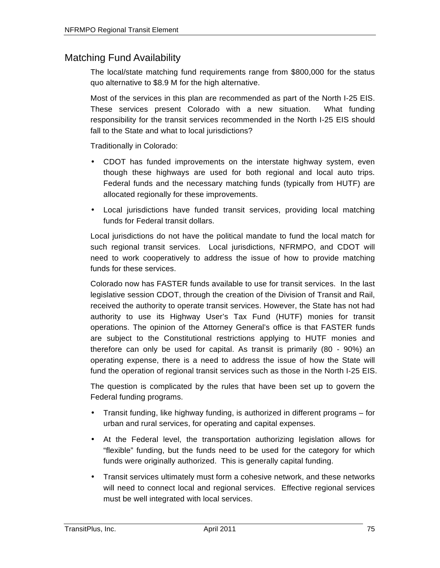### Matching Fund Availability

The local/state matching fund requirements range from \$800,000 for the status quo alternative to \$8.9 M for the high alternative.

Most of the services in this plan are recommended as part of the North I-25 EIS. These services present Colorado with a new situation. What funding responsibility for the transit services recommended in the North I-25 EIS should fall to the State and what to local jurisdictions?

Traditionally in Colorado:

- CDOT has funded improvements on the interstate highway system, even though these highways are used for both regional and local auto trips. Federal funds and the necessary matching funds (typically from HUTF) are allocated regionally for these improvements.
- Local jurisdictions have funded transit services, providing local matching funds for Federal transit dollars.

Local jurisdictions do not have the political mandate to fund the local match for such regional transit services. Local jurisdictions, NFRMPO, and CDOT will need to work cooperatively to address the issue of how to provide matching funds for these services.

Colorado now has FASTER funds available to use for transit services. In the last legislative session CDOT, through the creation of the Division of Transit and Rail, received the authority to operate transit services. However, the State has not had authority to use its Highway User's Tax Fund (HUTF) monies for transit operations. The opinion of the Attorney General's office is that FASTER funds are subject to the Constitutional restrictions applying to HUTF monies and therefore can only be used for capital. As transit is primarily (80 - 90%) an operating expense, there is a need to address the issue of how the State will fund the operation of regional transit services such as those in the North I-25 EIS.

The question is complicated by the rules that have been set up to govern the Federal funding programs.

- Transit funding, like highway funding, is authorized in different programs for urban and rural services, for operating and capital expenses.
- At the Federal level, the transportation authorizing legislation allows for "flexible" funding, but the funds need to be used for the category for which funds were originally authorized. This is generally capital funding.
- Transit services ultimately must form a cohesive network, and these networks will need to connect local and regional services. Effective regional services must be well integrated with local services.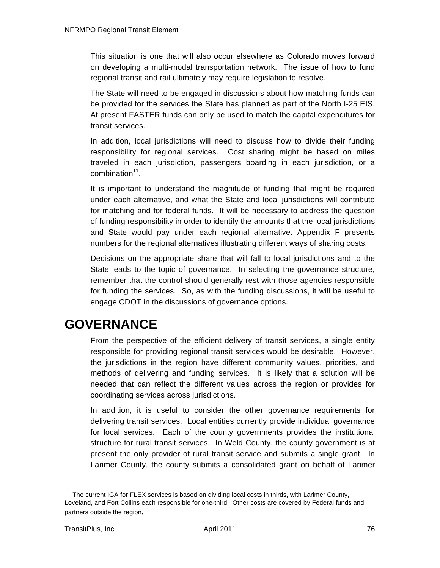This situation is one that will also occur elsewhere as Colorado moves forward on developing a multi-modal transportation network. The issue of how to fund regional transit and rail ultimately may require legislation to resolve.

The State will need to be engaged in discussions about how matching funds can be provided for the services the State has planned as part of the North I-25 EIS. At present FASTER funds can only be used to match the capital expenditures for transit services.

In addition, local jurisdictions will need to discuss how to divide their funding responsibility for regional services. Cost sharing might be based on miles traveled in each jurisdiction, passengers boarding in each jurisdiction, or a combination $11$ .

It is important to understand the magnitude of funding that might be required under each alternative, and what the State and local jurisdictions will contribute for matching and for federal funds. It will be necessary to address the question of funding responsibility in order to identify the amounts that the local jurisdictions and State would pay under each regional alternative. Appendix F presents numbers for the regional alternatives illustrating different ways of sharing costs.

Decisions on the appropriate share that will fall to local jurisdictions and to the State leads to the topic of governance. In selecting the governance structure, remember that the control should generally rest with those agencies responsible for funding the services. So, as with the funding discussions, it will be useful to engage CDOT in the discussions of governance options.

## **GOVERNANCE**

From the perspective of the efficient delivery of transit services, a single entity responsible for providing regional transit services would be desirable. However, the jurisdictions in the region have different community values, priorities, and methods of delivering and funding services. It is likely that a solution will be needed that can reflect the different values across the region or provides for coordinating services across jurisdictions.

In addition, it is useful to consider the other governance requirements for delivering transit services. Local entities currently provide individual governance for local services. Each of the county governments provides the institutional structure for rural transit services. In Weld County, the county government is at present the only provider of rural transit service and submits a single grant. In Larimer County, the county submits a consolidated grant on behalf of Larimer

 $11$  The current IGA for FLEX services is based on dividing local costs in thirds, with Larimer County, Loveland, and Fort Collins each responsible for one-third. Other costs are covered by Federal funds and partners outside the region.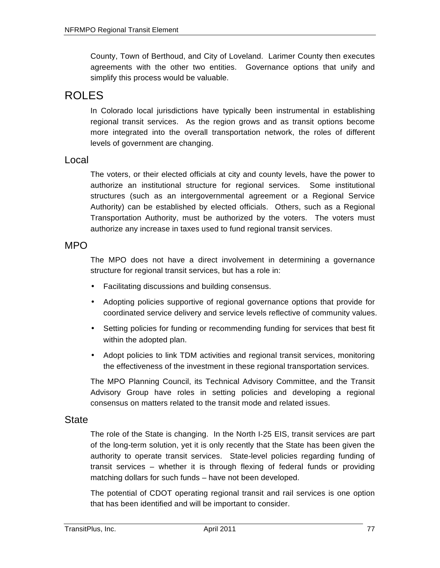County, Town of Berthoud, and City of Loveland. Larimer County then executes agreements with the other two entities. Governance options that unify and simplify this process would be valuable.

### ROLES

In Colorado local jurisdictions have typically been instrumental in establishing regional transit services. As the region grows and as transit options become more integrated into the overall transportation network, the roles of different levels of government are changing.

#### Local

The voters, or their elected officials at city and county levels, have the power to authorize an institutional structure for regional services. Some institutional structures (such as an intergovernmental agreement or a Regional Service Authority) can be established by elected officials. Others, such as a Regional Transportation Authority, must be authorized by the voters. The voters must authorize any increase in taxes used to fund regional transit services.

#### MPO

The MPO does not have a direct involvement in determining a governance structure for regional transit services, but has a role in:

- Facilitating discussions and building consensus.
- Adopting policies supportive of regional governance options that provide for coordinated service delivery and service levels reflective of community values.
- Setting policies for funding or recommending funding for services that best fit within the adopted plan.
- Adopt policies to link TDM activities and regional transit services, monitoring the effectiveness of the investment in these regional transportation services.

The MPO Planning Council, its Technical Advisory Committee, and the Transit Advisory Group have roles in setting policies and developing a regional consensus on matters related to the transit mode and related issues.

#### **State**

The role of the State is changing. In the North I-25 EIS, transit services are part of the long-term solution, yet it is only recently that the State has been given the authority to operate transit services. State-level policies regarding funding of transit services – whether it is through flexing of federal funds or providing matching dollars for such funds – have not been developed.

The potential of CDOT operating regional transit and rail services is one option that has been identified and will be important to consider.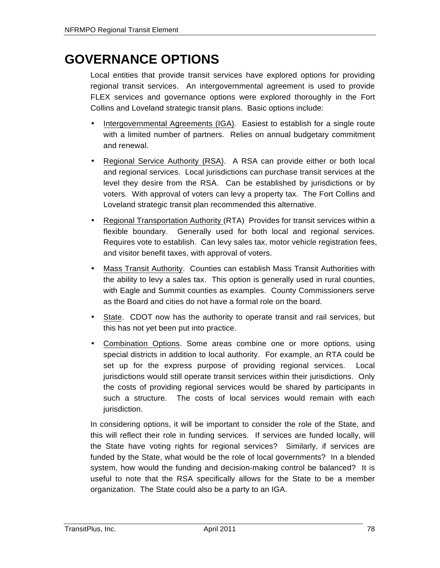# **GOVERNANCE OPTIONS**

Local entities that provide transit services have explored options for providing regional transit services. An intergovernmental agreement is used to provide FLEX services and governance options were explored thoroughly in the Fort Collins and Loveland strategic transit plans. Basic options include:

- Intergovernmental Agreements (IGA). Easiest to establish for a single route with a limited number of partners. Relies on annual budgetary commitment and renewal.
- Regional Service Authority (RSA). A RSA can provide either or both local and regional services. Local jurisdictions can purchase transit services at the level they desire from the RSA. Can be established by jurisdictions or by voters. With approval of voters can levy a property tax. The Fort Collins and Loveland strategic transit plan recommended this alternative.
- Regional Transportation Authority (RTA) Provides for transit services within a flexible boundary. Generally used for both local and regional services. Requires vote to establish. Can levy sales tax, motor vehicle registration fees, and visitor benefit taxes, with approval of voters.
- Mass Transit Authority. Counties can establish Mass Transit Authorities with the ability to levy a sales tax. This option is generally used in rural counties, with Eagle and Summit counties as examples. County Commissioners serve as the Board and cities do not have a formal role on the board.
- State. CDOT now has the authority to operate transit and rail services, but this has not yet been put into practice.
- Combination Options. Some areas combine one or more options, using special districts in addition to local authority. For example, an RTA could be set up for the express purpose of providing regional services. Local jurisdictions would still operate transit services within their jurisdictions. Only the costs of providing regional services would be shared by participants in such a structure. The costs of local services would remain with each jurisdiction.

In considering options, it will be important to consider the role of the State, and this will reflect their role in funding services. If services are funded locally, will the State have voting rights for regional services? Similarly, if services are funded by the State, what would be the role of local governments? In a blended system, how would the funding and decision-making control be balanced? It is useful to note that the RSA specifically allows for the State to be a member organization. The State could also be a party to an IGA.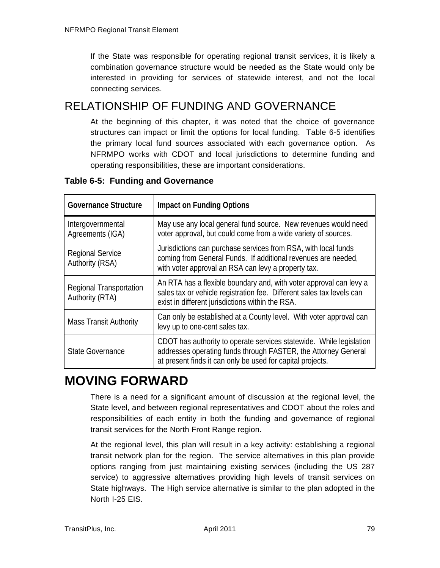If the State was responsible for operating regional transit services, it is likely a combination governance structure would be needed as the State would only be interested in providing for services of statewide interest, and not the local connecting services.

## RELATIONSHIP OF FUNDING AND GOVERNANCE

At the beginning of this chapter, it was noted that the choice of governance structures can impact or limit the options for local funding. Table 6-5 identifies the primary local fund sources associated with each governance option. As NFRMPO works with CDOT and local jurisdictions to determine funding and operating responsibilities, these are important considerations.

| <b>Governance Structure</b>                       | <b>Impact on Funding Options</b>                                                                                                                                                                    |  |  |
|---------------------------------------------------|-----------------------------------------------------------------------------------------------------------------------------------------------------------------------------------------------------|--|--|
| Intergovernmental<br>Agreements (IGA)             | May use any local general fund source. New revenues would need<br>voter approval, but could come from a wide variety of sources.                                                                    |  |  |
| <b>Regional Service</b><br>Authority (RSA)        | Jurisdictions can purchase services from RSA, with local funds<br>coming from General Funds. If additional revenues are needed,<br>with voter approval an RSA can levy a property tax.              |  |  |
| <b>Regional Transportation</b><br>Authority (RTA) | An RTA has a flexible boundary and, with voter approval can levy a<br>sales tax or vehicle registration fee. Different sales tax levels can<br>exist in different jurisdictions within the RSA.     |  |  |
| <b>Mass Transit Authority</b>                     | Can only be established at a County level. With voter approval can<br>levy up to one-cent sales tax.                                                                                                |  |  |
| <b>State Governance</b>                           | CDOT has authority to operate services statewide. While legislation<br>addresses operating funds through FASTER, the Attorney General<br>at present finds it can only be used for capital projects. |  |  |

#### **Table 6-5: Funding and Governance**

# **MOVING FORWARD**

There is a need for a significant amount of discussion at the regional level, the State level, and between regional representatives and CDOT about the roles and responsibilities of each entity in both the funding and governance of regional transit services for the North Front Range region.

At the regional level, this plan will result in a key activity: establishing a regional transit network plan for the region. The service alternatives in this plan provide options ranging from just maintaining existing services (including the US 287 service) to aggressive alternatives providing high levels of transit services on State highways. The High service alternative is similar to the plan adopted in the North I-25 EIS.